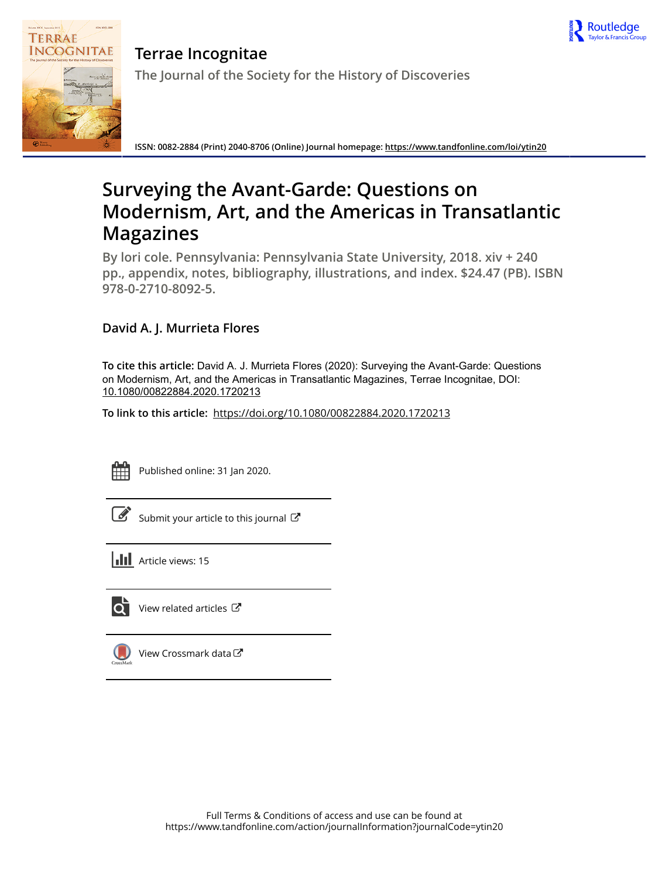



**Terrae Incognitae The Journal of the Society for the History of Discoveries**

**ISSN: 0082-2884 (Print) 2040-8706 (Online) Journal homepage:<https://www.tandfonline.com/loi/ytin20>**

## **Surveying the Avant-Garde: Questions on Modernism, Art, and the Americas in Transatlantic Magazines**

**By lori cole. Pennsylvania: Pennsylvania State University, 2018. xiv + 240 pp., appendix, notes, bibliography, illustrations, and index. \$24.47 (PB). ISBN 978-0-2710-8092-5.**

## **David A. J. Murrieta Flores**

**To cite this article:** David A. J. Murrieta Flores (2020): Surveying the Avant-Garde: Questions on Modernism, Art, and the Americas in Transatlantic Magazines, Terrae Incognitae, DOI: [10.1080/00822884.2020.1720213](https://www.tandfonline.com/action/showCitFormats?doi=10.1080/00822884.2020.1720213)

**To link to this article:** <https://doi.org/10.1080/00822884.2020.1720213>



Published online: 31 Jan 2020.

| I |
|---|
|   |

[Submit your article to this journal](https://www.tandfonline.com/action/authorSubmission?journalCode=ytin20&show=instructions)  $\mathbb{Z}$ 

**III** Article views: 15



[View related articles](https://www.tandfonline.com/doi/mlt/10.1080/00822884.2020.1720213)  $\mathbb{Z}$ 



[View Crossmark data](http://crossmark.crossref.org/dialog/?doi=10.1080/00822884.2020.1720213&domain=pdf&date_stamp=2020-01-31) $\mathbb{Z}$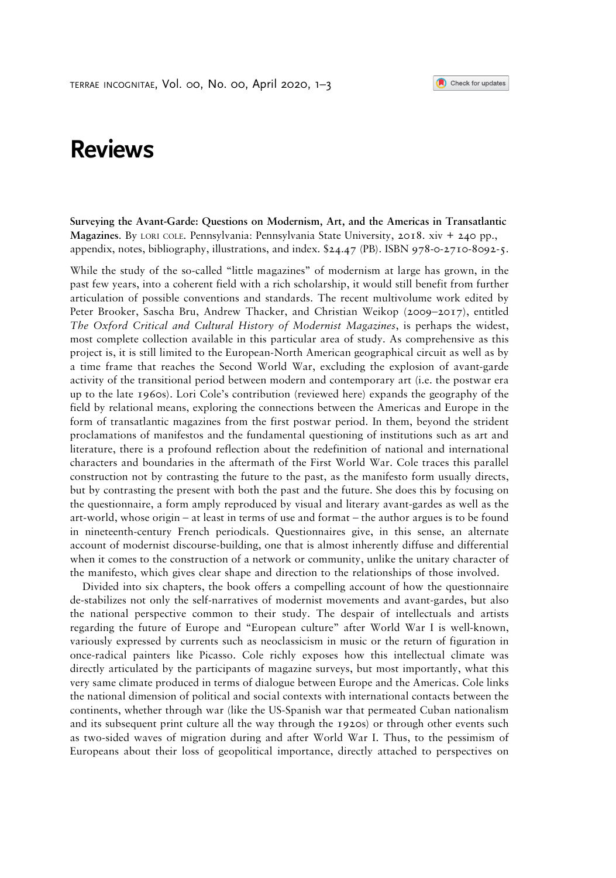Check for updates

## Reviews

Surveying the Avant-Garde: Questions on Modernism, Art, and the Americas in Transatlantic Magazines. By LORI COLE. Pennsylvania: Pennsylvania State University, 2018. xiv + 240 pp., appendix, notes, bibliography, illustrations, and index. \$24.47 (PB). ISBN 978-0-2710-8092-5.

While the study of the so-called "little magazines" of modernism at large has grown, in the past few years, into a coherent field with a rich scholarship, it would still benefit from further articulation of possible conventions and standards. The recent multivolume work edited by Peter Brooker, Sascha Bru, Andrew Thacker, and Christian Weikop (2009–2017), entitled The Oxford Critical and Cultural History of Modernist Magazines, is perhaps the widest, most complete collection available in this particular area of study. As comprehensive as this project is, it is still limited to the European-North American geographical circuit as well as by a time frame that reaches the Second World War, excluding the explosion of avant-garde activity of the transitional period between modern and contemporary art (i.e. the postwar era up to the late 1960s). Lori Cole's contribution (reviewed here) expands the geography of the field by relational means, exploring the connections between the Americas and Europe in the form of transatlantic magazines from the first postwar period. In them, beyond the strident proclamations of manifestos and the fundamental questioning of institutions such as art and literature, there is a profound reflection about the redefinition of national and international characters and boundaries in the aftermath of the First World War. Cole traces this parallel construction not by contrasting the future to the past, as the manifesto form usually directs, but by contrasting the present with both the past and the future. She does this by focusing on the questionnaire, a form amply reproduced by visual and literary avant-gardes as well as the art-world, whose origin – at least in terms of use and format – the author argues is to be found in nineteenth-century French periodicals. Questionnaires give, in this sense, an alternate account of modernist discourse-building, one that is almost inherently diffuse and differential when it comes to the construction of a network or community, unlike the unitary character of the manifesto, which gives clear shape and direction to the relationships of those involved.

Divided into six chapters, the book offers a compelling account of how the questionnaire de-stabilizes not only the self-narratives of modernist movements and avant-gardes, but also the national perspective common to their study. The despair of intellectuals and artists regarding the future of Europe and "European culture" after World War I is well-known, variously expressed by currents such as neoclassicism in music or the return of figuration in once-radical painters like Picasso. Cole richly exposes how this intellectual climate was directly articulated by the participants of magazine surveys, but most importantly, what this very same climate produced in terms of dialogue between Europe and the Americas. Cole links the national dimension of political and social contexts with international contacts between the continents, whether through war (like the US-Spanish war that permeated Cuban nationalism and its subsequent print culture all the way through the 1920s) or through other events such as two-sided waves of migration during and after World War I. Thus, to the pessimism of Europeans about their loss of geopolitical importance, directly attached to perspectives on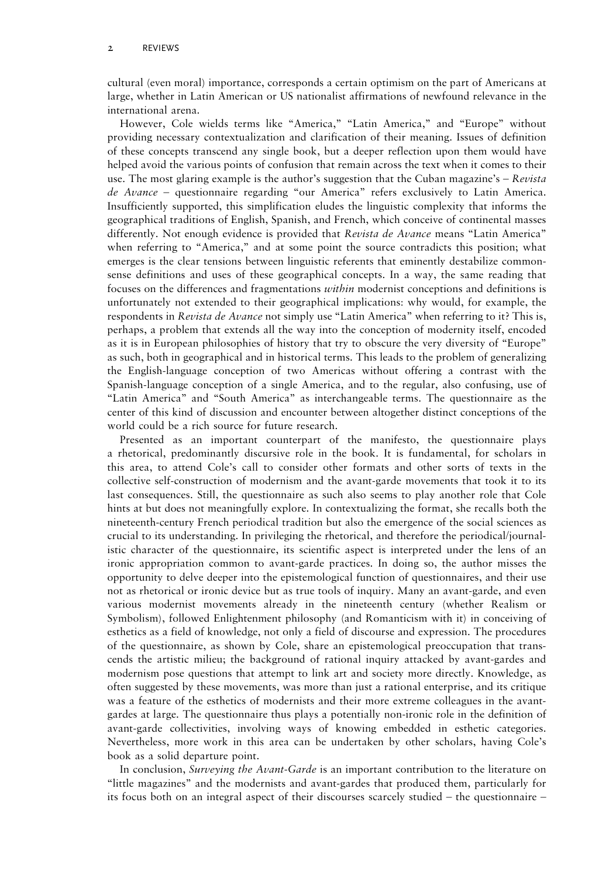cultural (even moral) importance, corresponds a certain optimism on the part of Americans at large, whether in Latin American or US nationalist affirmations of newfound relevance in the international arena.

However, Cole wields terms like "America," "Latin America," and "Europe" without providing necessary contextualization and clarification of their meaning. Issues of definition of these concepts transcend any single book, but a deeper reflection upon them would have helped avoid the various points of confusion that remain across the text when it comes to their use. The most glaring example is the author's suggestion that the Cuban magazine's  $-$  Revista de Avance – questionnaire regarding "our America" refers exclusively to Latin America. Insufficiently supported, this simplification eludes the linguistic complexity that informs the geographical traditions of English, Spanish, and French, which conceive of continental masses differently. Not enough evidence is provided that *Revista de Avance* means "Latin America" when referring to "America," and at some point the source contradicts this position; what emerges is the clear tensions between linguistic referents that eminently destabilize commonsense definitions and uses of these geographical concepts. In a way, the same reading that focuses on the differences and fragmentations within modernist conceptions and definitions is unfortunately not extended to their geographical implications: why would, for example, the respondents in Revista de Avance not simply use "Latin America" when referring to it? This is, perhaps, a problem that extends all the way into the conception of modernity itself, encoded as it is in European philosophies of history that try to obscure the very diversity of "Europe" as such, both in geographical and in historical terms. This leads to the problem of generalizing the English-language conception of two Americas without offering a contrast with the Spanish-language conception of a single America, and to the regular, also confusing, use of "Latin America" and "South America" as interchangeable terms. The questionnaire as the center of this kind of discussion and encounter between altogether distinct conceptions of the world could be a rich source for future research.

Presented as an important counterpart of the manifesto, the questionnaire plays a rhetorical, predominantly discursive role in the book. It is fundamental, for scholars in this area, to attend Cole's call to consider other formats and other sorts of texts in the collective self-construction of modernism and the avant-garde movements that took it to its last consequences. Still, the questionnaire as such also seems to play another role that Cole hints at but does not meaningfully explore. In contextualizing the format, she recalls both the nineteenth-century French periodical tradition but also the emergence of the social sciences as crucial to its understanding. In privileging the rhetorical, and therefore the periodical/journalistic character of the questionnaire, its scientific aspect is interpreted under the lens of an ironic appropriation common to avant-garde practices. In doing so, the author misses the opportunity to delve deeper into the epistemological function of questionnaires, and their use not as rhetorical or ironic device but as true tools of inquiry. Many an avant-garde, and even various modernist movements already in the nineteenth century (whether Realism or Symbolism), followed Enlightenment philosophy (and Romanticism with it) in conceiving of esthetics as a field of knowledge, not only a field of discourse and expression. The procedures of the questionnaire, as shown by Cole, share an epistemological preoccupation that transcends the artistic milieu; the background of rational inquiry attacked by avant-gardes and modernism pose questions that attempt to link art and society more directly. Knowledge, as often suggested by these movements, was more than just a rational enterprise, and its critique was a feature of the esthetics of modernists and their more extreme colleagues in the avantgardes at large. The questionnaire thus plays a potentially non-ironic role in the definition of avant-garde collectivities, involving ways of knowing embedded in esthetic categories. Nevertheless, more work in this area can be undertaken by other scholars, having Cole's book as a solid departure point.

In conclusion, *Surveying the Avant-Garde* is an important contribution to the literature on "little magazines" and the modernists and avant-gardes that produced them, particularly for its focus both on an integral aspect of their discourses scarcely studied – the questionnaire –